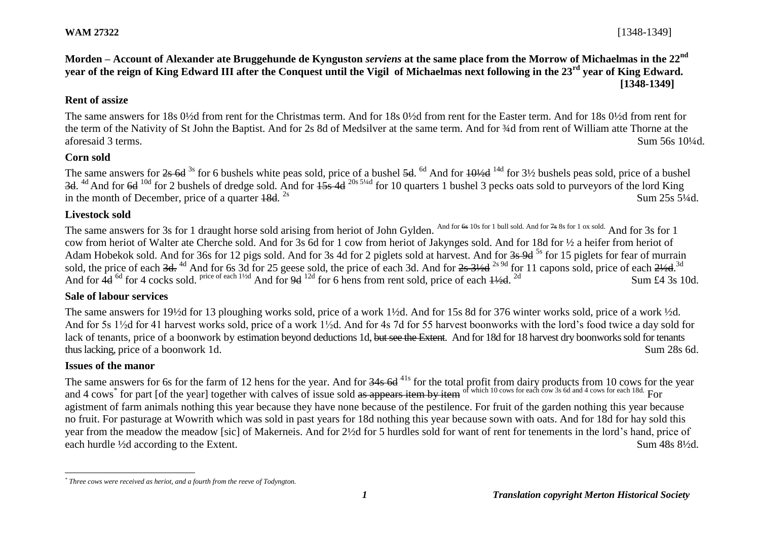## **Morden – Account of Alexander ate Bruggehunde de Kynguston** *serviens* **at the same place from the Morrow of Michaelmas in the 22nd year of the reign of King Edward III after the Conquest until the Vigil of Michaelmas next following in the 23rd year of King Edward. [1348-1349]**

## **Rent of assize**

The same answers for 18s 0½d from rent for the Christmas term. And for 18s 0½d from rent for the Easter term. And for 18s 0½d from rent for the term of the Nativity of St John the Baptist. And for 2s 8d of Medsilver at the same term. And for ¾d from rent of William atte Thorne at the aforesaid 3 terms. Sum 56s 10¼d.

## **Corn sold**

The same answers for  $2s$  6d <sup>3s</sup> for 6 bushels white peas sold, price of a bushel 5d. <sup>6d</sup> And for  $10\frac{\cancel{4}}{4}$  for  $3\frac{\cancel{6}}{2}$  bushels peas sold, price of a bushel 3d. <sup>4d</sup> And for 6d <sup>10d</sup> for 2 bushels of dredge sold. And for  $\frac{15s}{10}$  4d <sup>20s 5¼d</sup> for 10 quarters 1 bushel 3 pecks oats sold to purveyors of the lord King in the month of December, price of a quarter  $18d$ . <sup>2s</sup>  $2s$  Sum  $25s$  5<sup>1</sup>/4d.

#### **Livestock sold**

The same answers for 3s for 1 draught horse sold arising from heriot of John Gylden. And for 6s 10s for 1 bull sold. And for 7s 8s for 1 ox sold. And for 3s for 1 cow from heriot of Walter ate Cherche sold. And for 3s 6d for 1 cow from heriot of Jakynges sold. And for 18d for ½ a heifer from heriot of Adam Hobekok sold. And for 36s for 12 pigs sold. And for 3s 4d for 2 piglets sold at harvest. And for 3s 9d <sup>5s</sup> for 15 piglets for fear of murrain sold, the price of each 3d. <sup>4d</sup> And for 6s 3d for 25 geese sold, the price of each 3d. And for 2s 3½d <sup>2s 9d</sup> for 11 capons sold, price of each 2½d.<sup>3d</sup> And for 4d <sup>6d</sup> for 4 cocks sold. Price of each 1<sup>1/2d</sup> And for 9d <sup>12d</sup> for 6 hens from rent sold, price of each  $\frac{1}{2}$ d. <sup>2d</sup> Sum £4 3s 10d.

#### **Sale of labour services**

The same answers for 19½d for 13 ploughing works sold, price of a work 1½d. And for 15s 8d for 376 winter works sold, price of a work ½d. And for 5s 1½d for 41 harvest works sold, price of a work 1½d. And for 4s 7d for 55 harvest boonworks with the lord's food twice a day sold for lack of tenants, price of a boonwork by estimation beyond deductions 1d, but see the Extent. And for 18d for 18 harvest dry boonworks sold for tenants thus lacking, price of a boonwork 1d. Sum 28s 6d.

## **Issues of the manor**

l

The same answers for 6s for the farm of 12 hens for the year. And for 34s 6d<sup>41s</sup> for the total profit from dairy products from 10 cows for the year and 4 cows<sup>\*</sup> for part [of the year] together with calves of issue sold <del>as appears item by item</del> of which 10 cows for each cow 3s 6d and 4 cows for each 18d. For agistment of farm animals nothing this year because they have none because of the pestilence. For fruit of the garden nothing this year because no fruit. For pasturage at Wowrith which was sold in past years for 18d nothing this year because sown with oats. And for 18d for hay sold this year from the meadow the meadow [sic] of Makerneis. And for 2½d for 5 hurdles sold for want of rent for tenements in the lord's hand, price of each hurdle <sup>1</sup>/2d according to the Extent. Sum 48s 8<sup>1/2</sup>d.

*<sup>\*</sup> Three cows were received as heriot, and a fourth from the reeve of Todyngton.*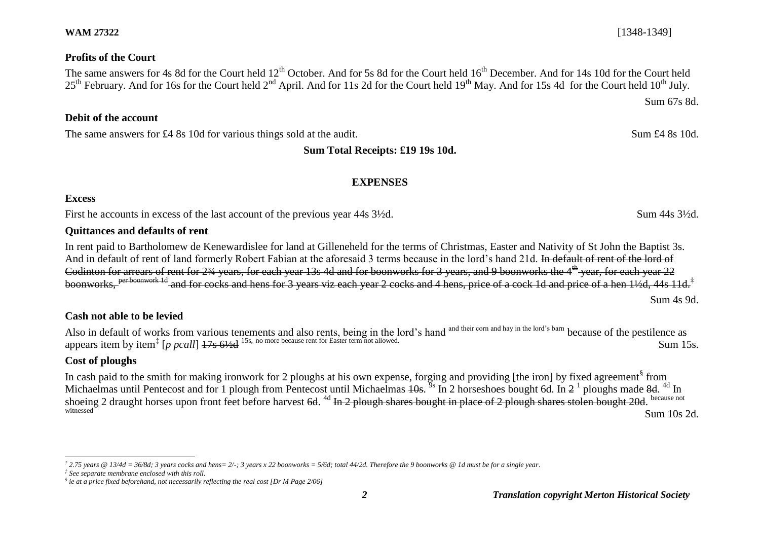#### *2 Translation copyright Merton Historical Society*

## **WAM 27322** [1348-1349]

## **Profits of the Court**

The same answers for 4s 8d for the Court held  $12^{th}$  October. And for 5s 8d for the Court held  $16^{th}$  December. And for 14s 10d for the Court held 25<sup>th</sup> February. And for 16s for the Court held 2<sup>nd</sup> April. And for 11s 2d for the Court held 19<sup>th</sup> May. And for 15s 4d for the Court held 10<sup>th</sup> July.

# **Debit of the account**

The same answers for £4 8s 10d for various things sold at the audit. Sum £4 8s 10d.

# **Sum Total Receipts: £19 19s 10d.**

# **EXPENSES**

## **Excess**

First he accounts in excess of the last account of the previous year 44s  $3\frac{1}{2}d$ . Sum 44s  $3\frac{1}{2}d$ .

## **Quittances and defaults of rent**

In rent paid to Bartholomew de Kenewardislee for land at Gilleneheld for the terms of Christmas, Easter and Nativity of St John the Baptist 3s. And in default of rent of land formerly Robert Fabian at the aforesaid 3 terms because in the lord's hand 21d. In default of rent of the lord of Codinton for arrears of rent for 2<sup>34</sup> years, for each year 13s 4d and for boonworks for 3 years, and 9 boonworks the 4<sup>th</sup> year, for each year 22  $\frac{c+d}{c}$  and for cocks and hens for 3 years viz each year 2 cocks and 4 hens, price of a cock 1d and price of a hen 1½d, 44s 11d.<sup>†</sup> Sum 4s 9d.

# **Cash not able to be levied**

Also in default of works from various tenements and also rents, being in the lord's hand and their corn and hay in the lord's barn because of the pestilence as appears item by item<sup>‡</sup> [*p pcall*] <del>17s 6½d</del> <sup>15s, no more because rent for Easter term not allowed. Sum 15s.</sup>

# **Cost of ploughs**

In cash paid to the smith for making ironwork for 2 ploughs at his own expense, forging and providing [the iron] by fixed agreement<sup>§</sup> from Michaelmas until Pentecost and for 1 plough from Pentecost until Michaelmas  $\frac{10s}{s}$  In 2 horseshoes bought 6d. In  $2^{-1}$  ploughs made 8d. <sup>4d</sup> In shoeing 2 draught horses upon front feet before harvest 6d. <sup>4d</sup> In 2 plough shares bought in place of 2 plough shares stolen bought 20d. because not witnessed Sum 10s 2d.

Sum 67s 8d.

l *† 2.75 years @ 13/4d = 36/8d; 3 years cocks and hens= 2/-; 3 years x 22 boonworks = 5/6d; total 44/2d. Therefore the 9 boonworks @ 1d must be for a single year.*

*<sup>‡</sup> See separate membrane enclosed with this roll.*

*<sup>§</sup> ie at a price fixed beforehand, not necessarily reflecting the real cost [Dr M Page 2/06]*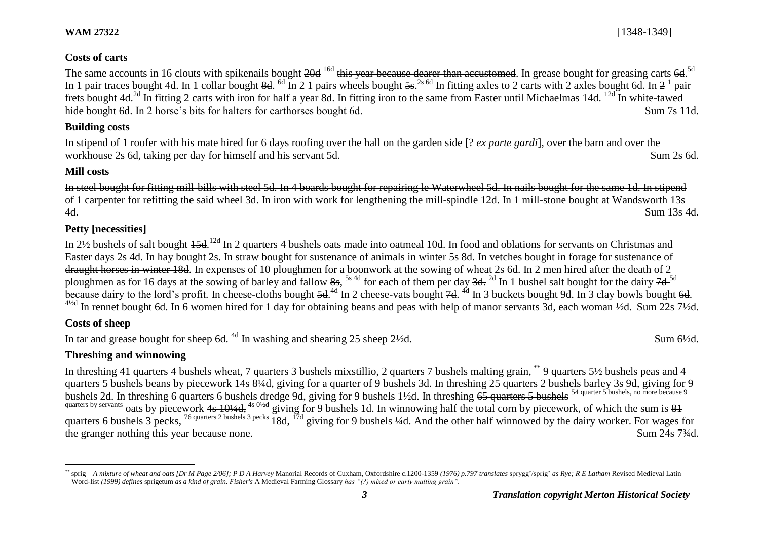The same accounts in 16 clouts with spikenails bought <del>20d</del> <sup>16d</sup> this year because dearer than accustomed. In grease bought for greasing carts 6d.<sup>5d</sup> In 1 pair traces bought 4d. In 1 collar bought 8d. <sup>6d</sup> In 2 1 pairs wheels bought  $5s$ .<sup>2s 6d</sup> In fitting axles to 2 carts with 2 axles bought 6d. In 2<sup>1</sup> pair frets bought 4d.<sup>2d</sup> In fitting 2 carts with iron for half a year 8d. In fitting iron to the same from Easter until Michaelmas 44d. <sup>12d</sup> In white-tawed hide bought 6d. In 2 horse's bits for halters for carthorses bought 6d. Sum 7s 11d.

## **Building costs**

In stipend of 1 roofer with his mate hired for 6 days roofing over the hall on the garden side [? *ex parte gardi*], over the barn and over the workhouse 2s 6d, taking per day for himself and his servant 5d. Sum 2s 6d.

# **Mill costs**

In steel bought for fitting mill-bills with steel 5d. In 4 boards bought for repairing le Waterwheel 5d. In nails bought for the same 1d. In stipend of 1 carpenter for refitting the said wheel 3d. In iron with work for lengthening the mill-spindle 12d. In 1 mill-stone bought at Wandsworth 13s 4d. Sum 13s 4d.

# **Petty [necessities]**

In 2½ bushels of salt bought 45d.<sup>12d</sup> In 2 quarters 4 bushels oats made into oatmeal 10d. In food and oblations for servants on Christmas and Easter days 2s 4d. In hay bought 2s. In straw bought for sustenance of animals in winter 5s 8d. In vetches bought in forage for sustenance of draught horses in winter 18d. In expenses of 10 ploughmen for a boonwork at the sowing of wheat 2s 6d. In 2 men hired after the death of 2 ploughmen as for 16 days at the sowing of barley and fallow  $8s$ , <sup>5s 4d</sup> for each of them per day  $3d$ . <sup>2d</sup> In 1 bushel salt bought for the dairy  $7d$ <sup>5d</sup> because dairy to the lord's profit. In cheese-cloths bought 5d.<sup>4d</sup> In 2 cheese-vats bought 7d. <sup>4d</sup> In 3 buckets bought 9d. In 3 clay bowls bought 6d.  $4\frac{4}{2}$  In rennet bought 6d. In 6 women hired for 1 day for obtaining beans and peas with help of manor servants 3d, each woman  $\frac{1}{2}$ d. Sum 22s 7 $\frac{1}{2}$ d.

# **Costs of sheep**

In tar and grease bought for sheep  $6d$ . <sup>4d</sup> In washing and shearing 25 sheep 2½d. Sum 6½d.

# **Threshing and winnowing**

In threshing 41 quarters 4 bushels wheat, 7 quarters 3 bushels mixstillio, 2 quarters 7 bushels malting grain, \*\* 9 quarters 5½ bushels peas and 4 quarters 5 bushels beans by piecework 14s 8¼d, giving for a quarter of 9 bushels 3d. In threshing 25 quarters 2 bushels barley 3s 9d, giving for 9 bushels 2d. In threshing 6 quarters 6 bushels dredge 9d, giving for 9 bushels 1½d. In threshing  $65$  quarters 5 bushels <sup>54 quarter 5</sup> bushels, no more because 9 quarters by servants oats by piecework 4s  $10/4d$ , <sup>4s 0/2d</sup> giving for 9 bushels 1d. In winnowing half the total corn by piecework, of which the sum is 81 quarters 6 bushels 3 pecks, <sup>76 quarters 2 bushels 3 pecks</sup> 18d, <sup>17d</sup> giving for 9 bushels ¼d. And the other half winnowed by the dairy worker. For wages for the granger nothing this year because none. Sum 24s 7<sup>3</sup>/4d.

 $\overline{a}$ sprig – A mixture of wheat and oats [Dr M Page 2/06]; P D A Harvey Manorial Records of Cuxham, Oxfordshire c.1200-1359 (1976) p.797 translates sprygg'/sprig' as Rye; R E Latham Revised Medieval Latin Word-list *(1999) defines* sprigetum *as a kind of grain. Fisher's* A Medieval Farming Glossary *has "(?) mixed or early malting grain".*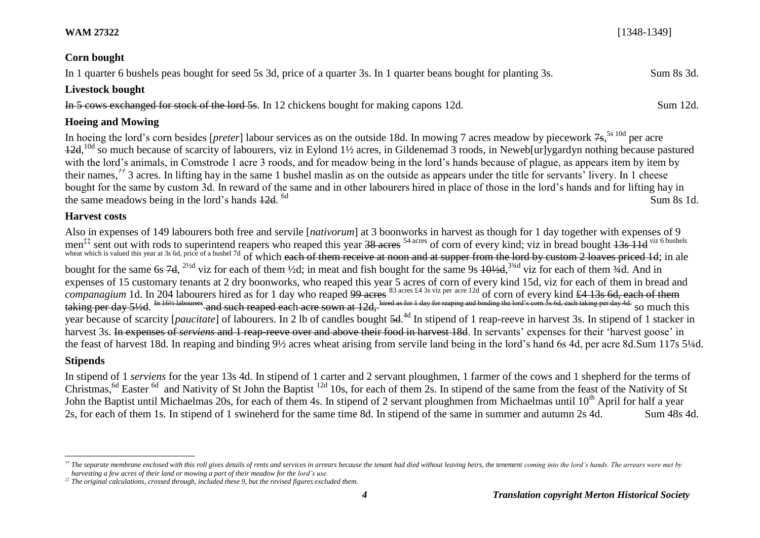#### **WAM 27322** [1348-1349]

#### **Corn bought**

In 1 quarter 6 bushels peas bought for seed 5s 3d, price of a quarter 3s. In 1 quarter beans bought for planting 3s. Sum 8s 3d.

#### **Livestock bought**

In 5 cows exchanged for stock of the lord 5s. In 12 chickens bought for making capons 12d. Sum 12d.

#### **Hoeing and Mowing**

In hoeing the lord's corn besides [*preter*] labour services as on the outside 18d. In mowing 7 acres meadow by piecework 7s,<sup>5s 10d</sup> per acre  $12d$ , <sup>10d</sup> so much because of scarcity of labourers, viz in Eylond 1½ acres, in Gildenemad 3 roods, in Neweb[ur]ygardyn nothing because pastured with the lord's animals, in Comstrode 1 acre 3 roods, and for meadow being in the lord's hands because of plague, as appears item by item by their names*, ††* 3 acres. In lifting hay in the same 1 bushel maslin as on the outside as appears under the title for servants' livery. In 1 cheese bought for the same by custom 3d. In reward of the same and in other labourers hired in place of those in the lord's hands and for lifting hay in the same meadows being in the lord's hands  $12d$ . <sup>6d</sup> 6d Sum 8s 1d.

#### **Harvest costs**

Also in expenses of 149 labourers both free and servile [*nativorum*] at 3 boonworks in harvest as though for 1 day together with expenses of 9 men<sup>‡‡</sup> sent out with rods to superintend reapers who reaped this year  $\frac{38 \text{ acres}}{34 \text{ acres}}$  of corn of every kind; viz in bread bought  $\frac{13s}{11}$ d <sup>viz 6 bushels</sup> wheat which is valued this year at 3s 6d, price of a bushel 7d of which each of them receive at noon and at supper from the lord by custom 2 loaves priced 1d; in ale bought for the same 6s  $7d$ ,  $^{2\frac{1}{2}d}$  viz for each of them  $\frac{1}{2}d$ ; in meat and fish bought for the same 9s  $10\frac{1}{2}d$ ,  $^{3\frac{3}{4}d}$  viz for each of them  $\frac{3}{4}d$ . And in expenses of 15 customary tenants at 2 dry boonworks, who reaped this year 5 acres of corn of every kind 15d, viz for each of them in bread and *companagium* 1d. In 204 labourers hired as for 1 day who reaped <del>99 acres</del> <sup>83 acres £4 3s viz per acre 12d</sup> of corn of every kind <del>£4 13s 6d, each of them</del> taking per day 5½d. <sup>In 16½ labourers</sup> and such reaped each acre sown at 12d, hired as for 1 day for reaping and binding the lord's corn 5s 6d, each taking per day 4d. So much this year because of scarcity [*paucitate*] of labourers. In 2 lb of candles bought 5d. 4d In stipend of 1 reap-reeve in harvest 3s. In stipend of 1 stacker in harvest 3s. In expenses of *serviens* and 1 reap-reeve over and above their food in harvest 18d. In servants' expenses for their 'harvest goose' in the feast of harvest 18d. In reaping and binding 9½ acres wheat arising from servile land being in the lord's hand 6s 4d, per acre 8d.Sum 117s 5¼d.

#### **Stipends**

In stipend of 1 *serviens* for the year 13s 4d. In stipend of 1 carter and 2 servant ploughmen, 1 farmer of the cows and 1 shepherd for the terms of Christmas, <sup>6d</sup> Easter <sup>6d</sup> and Nativity of St John the Baptist <sup>12d</sup> 10s, for each of them 2s. In stipend of the same from the feast of the Nativity of St John the Baptist until Michaelmas 20s, for each of them 4s. In stipend of 2 servant ploughmen from Michaelmas until  $10<sup>th</sup>$  April for half a year 2s, for each of them 1s. In stipend of 1 swineherd for the same time 8d. In stipend of the same in summer and autumn 2s 4d. Sum 48s 4d.

l <sup>††</sup> The separate membrane enclosed with this roll gives details of rents and services in arrears because the tenant had died without leaving heirs, the tenement coming into the lord's hands. The arrears were met by *harvesting a few acres of their land or mowing a part of their meadow for the lord's use.*

*<sup>‡‡</sup> The original calculations, crossed through, included these 9, but the revised figures excluded them.*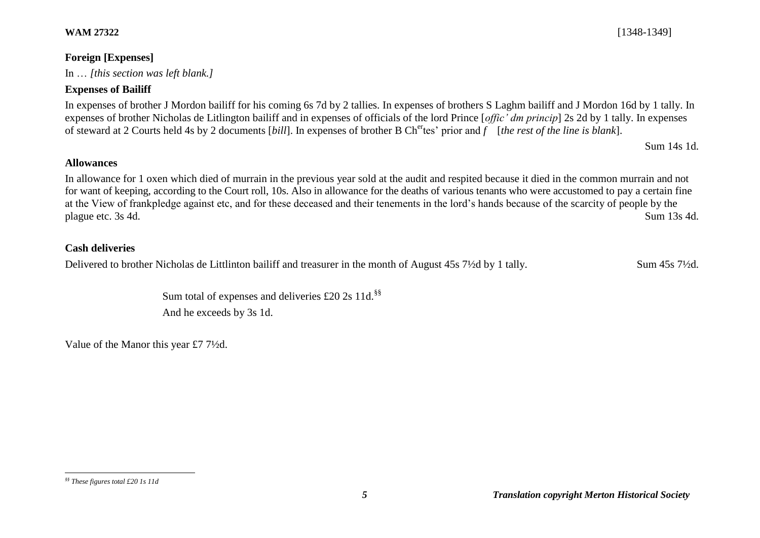#### **WAM 27322** [1348-1349]

# **Foreign [Expenses]**

In … *[this section was left blank.]*

# **Expenses of Bailiff**

In expenses of brother J Mordon bailiff for his coming 6s 7d by 2 tallies. In expenses of brothers S Laghm bailiff and J Mordon 16d by 1 tally. In expenses of brother Nicholas de Litlington bailiff and in expenses of officials of the lord Prince [*offic' dm princip*] 2s 2d by 1 tally. In expenses of steward at 2 Courts held 4s by 2 documents [*bill*]. In expenses of brother B Chertes' prior and *f* [*the rest of the line is blank*].

Sum 14s 1d.

# **Allowances**

In allowance for 1 oxen which died of murrain in the previous year sold at the audit and respited because it died in the common murrain and not for want of keeping, according to the Court roll, 10s. Also in allowance for the deaths of various tenants who were accustomed to pay a certain fine at the View of frankpledge against etc, and for these deceased and their tenements in the lord's hands because of the scarcity of people by the plague etc. 3s 4d. Sum 13s 4d.

# **Cash deliveries**

Delivered to brother Nicholas de Littlinton bailiff and treasurer in the month of August 45s 7½d by 1 tally. Sum 45s 7½d.

Sum total of expenses and deliveries £20 2s 11d. $§$ § And he exceeds by 3s 1d.

Value of the Manor this year £7 7½d.

l *§§ These figures total £20 1s 11d*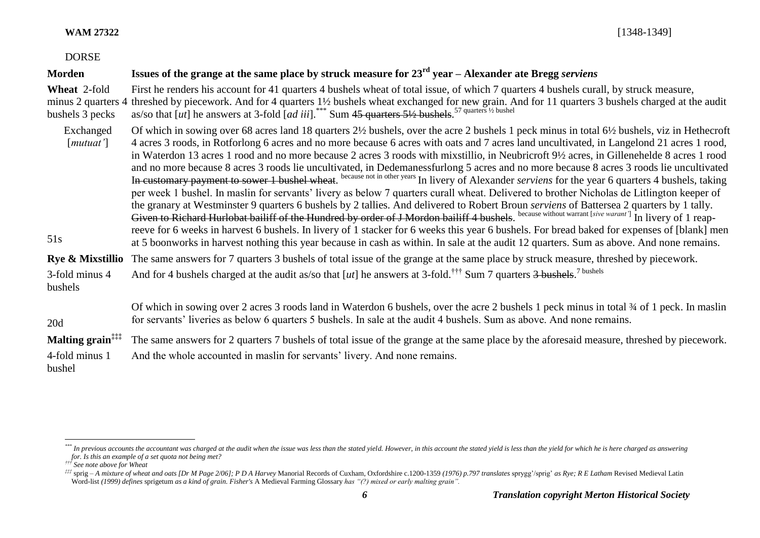#### DORSE

#### **Morden Issues of the grange at the same place by struck measure for 23rd year – Alexander ate Bregg** *serviens* **Wheat** 2-fold minus 2 quarters 4 bushels 3 pecks Exchanged [*mutuat'*] 51s First he renders his account for 41 quarters 4 bushels wheat of total issue, of which 7 quarters 4 bushels curall, by struck measure, threshed by piecework. And for 4 quarters 1½ bushels wheat exchanged for new grain. And for 11 quarters 3 bushels charged at the audit as/so that [*ut*] he answers at 3-fold [*ad iii*].<sup>\*\*\*</sup> Sum 45 quarters 5½ bushels.<sup>57 quarters ½ bushel</sup> Of which in sowing over 68 acres land 18 quarters 2½ bushels, over the acre 2 bushels 1 peck minus in total 6½ bushels, viz in Hethecroft 4 acres 3 roods, in Rotforlong 6 acres and no more because 6 acres with oats and 7 acres land uncultivated, in Langelond 21 acres 1 rood, in Waterdon 13 acres 1 rood and no more because 2 acres 3 roods with mixstillio, in Neubricroft 9½ acres, in Gillenehelde 8 acres 1 rood and no more because 8 acres 3 roods lie uncultivated, in Dedemanessfurlong 5 acres and no more because 8 acres 3 roods lie uncultivated In customary payment to sower 1 bushel wheat. <sup>because not in other years</sup> In livery of Alexander *serviens* for the year 6 quarters 4 bushels, taking per week 1 bushel. In maslin for servants' livery as below 7 quarters curall wheat. Delivered to brother Nicholas de Litlington keeper of the granary at Westminster 9 quarters 6 bushels by 2 tallies. And delivered to Robert Broun *serviens* of Battersea 2 quarters by 1 tally. Given to Richard Hurlobat bailiff of the Hundred by order of J Mordon bailiff 4 bushels. <sup>because without warrant [sive warant']</sub> In livery of 1 reap-</sup> reeve for 6 weeks in harvest 6 bushels. In livery of 1 stacker for 6 weeks this year 6 bushels. For bread baked for expenses of [blank] men at 5 boonworks in harvest nothing this year because in cash as within. In sale at the audit 12 quarters. Sum as above. And none remains. **Rye & Mixstillio** 3-fold minus 4 bushels The same answers for 7 quarters 3 bushels of total issue of the grange at the same place by struck measure, threshed by piecework. And for 4 bushels charged at the audit as/so that [*ut*] he answers at 3-fold.<sup>†††</sup> Sum 7 quarters <del>3 bushels</del>.<sup>7 bushels</sup> 20d Of which in sowing over 2 acres 3 roods land in Waterdon 6 bushels, over the acre 2 bushels 1 peck minus in total ¾ of 1 peck. In maslin for servants' liveries as below 6 quarters 5 bushels. In sale at the audit 4 bushels. Sum as above. And none remains. **Malting grain‡‡‡** 4-fold minus 1 bushel The same answers for 2 quarters 7 bushels of total issue of the grange at the same place by the aforesaid measure, threshed by piecework. And the whole accounted in maslin for servants' livery. And none remains.

<sup>\*\*\*</sup> In previous accounts the accountant was charged at the audit when the issue was less than the stated yield. However, in this account the stated yield is less than the yield for which he is here charged as answering *for. Is this an example of a set quota not being met?*

*<sup>†††</sup> See note above for Wheat*

<sup>##</sup> sprig - A mixture of wheat and oats [Dr M Page 2/06]; P D A Harvey Manorial Records of Cuxham, Oxfordshire c.1200-1359 (1976) p.797 translates sprygg'/sprig' as Rye; R E Latham Revised Medieval Latin Word-list *(1999) defines* sprigetum *as a kind of grain. Fisher's* A Medieval Farming Glossary *has "(?) mixed or early malting grain".*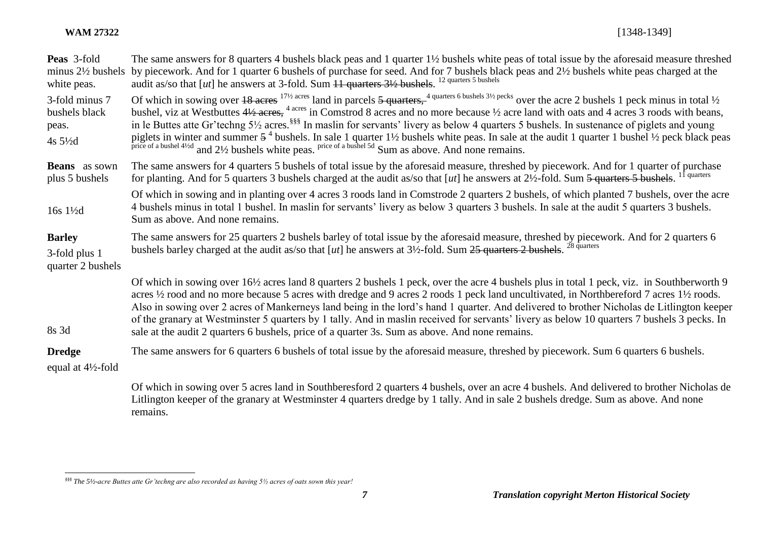| Peas 3-fold<br>minus $2\frac{1}{2}$ bushels<br>white peas.     | The same answers for 8 quarters 4 bushels black peas and 1 quarter 1½ bushels white peas of total issue by the aforesaid measure threshed<br>by piecework. And for 1 quarter 6 bushels of purchase for seed. And for 7 bushels black peas and 2½ bushels white peas charged at the<br>audit as/so that [ut] he answers at 3-fold. Sum $11$ quarters $3\frac{1}{2}$ bushels. <sup>12 quarters 5 bushels</sup>                                                                                                                                                                                                                                                                                                                                          |
|----------------------------------------------------------------|-------------------------------------------------------------------------------------------------------------------------------------------------------------------------------------------------------------------------------------------------------------------------------------------------------------------------------------------------------------------------------------------------------------------------------------------------------------------------------------------------------------------------------------------------------------------------------------------------------------------------------------------------------------------------------------------------------------------------------------------------------|
| 3-fold minus 7<br>bushels black<br>peas.<br>4s $5\frac{1}{2}d$ | Of which in sowing over $18$ acres $^{17\frac{1}{2}$ acres land in parcels $5$ quarters, $^{4}$ quarters 6 bushels $3\frac{1}{2}$ pecks over the acre 2 bushels 1 peck minus in total $\frac{1}{2}$<br>bushel, viz at Westbuttes 4½ acres, <sup>4 acres</sup> in Comstrod 8 acres and no more because ½ acre land with oats and 4 acres 3 roods with beans,<br>in le Buttes atte Gr'techng 5½ acres. <sup>§§§</sup> In maslin for servants' livery as below 4 quarters 5 bushels. In sustenance of piglets and young<br>piglets in winter and summer $5^4$ bushels. In sale 1 quarter 1½ bushels white peas. In sale at the audit 1 quarter 1 bushel ½ peck black peas price of a bushel 4½ and 2½ bushels white peas. Sum as above. And none remains |
| <b>Beans</b> as sown<br>plus 5 bushels                         | The same answers for 4 quarters 5 bushels of total issue by the aforesaid measure, threshed by piecework. And for 1 quarter of purchase<br>for planting. And for 5 quarters 3 bushels charged at the audit as/so that [ut] he answers at $2\frac{1}{2}$ -fold. Sum 5 quarters 5 bushels. <sup>11 quarters</sup>                                                                                                                                                                                                                                                                                                                                                                                                                                       |
| 16s $1\frac{1}{2}$ d                                           | Of which in sowing and in planting over 4 acres 3 roods land in Comstrode 2 quarters 2 bushels, of which planted 7 bushels, over the acre<br>4 bushels minus in total 1 bushel. In maslin for servants' livery as below 3 quarters 3 bushels. In sale at the audit 5 quarters 3 bushels.<br>Sum as above. And none remains.                                                                                                                                                                                                                                                                                                                                                                                                                           |
| <b>Barley</b><br>3-fold plus 1<br>quarter 2 bushels            | The same answers for 25 quarters 2 bushels barley of total issue by the aforesaid measure, threshed by piecework. And for 2 quarters 6<br>bushels barley charged at the audit as/so that $[ut]$ he answers at $3\frac{1}{2}$ -fold. Sum $25$ quarters 2 bushels. <sup>28 quarters</sup>                                                                                                                                                                                                                                                                                                                                                                                                                                                               |
| 8s 3d                                                          | Of which in sowing over 16½ acres land 8 quarters 2 bushels 1 peck, over the acre 4 bushels plus in total 1 peck, viz. in Southberworth 9<br>acres 1/2 rood and no more because 5 acres with dredge and 9 acres 2 roods 1 peck land uncultivated, in Northbereford 7 acres 11/2 roods.<br>Also in sowing over 2 acres of Mankerneys land being in the lord's hand 1 quarter. And delivered to brother Nicholas de Litlington keeper<br>of the granary at Westminster 5 quarters by 1 tally. And in maslin received for servants' livery as below 10 quarters 7 bushels 3 pecks. In<br>sale at the audit 2 quarters 6 bushels, price of a quarter 3s. Sum as above. And none remains.                                                                  |
| <b>Dredge</b><br>equal at $4\frac{1}{2}$ -fold                 | The same answers for 6 quarters 6 bushels of total issue by the aforesaid measure, threshed by piecework. Sum 6 quarters 6 bushels.                                                                                                                                                                                                                                                                                                                                                                                                                                                                                                                                                                                                                   |
|                                                                | Of which in sowing over 5 acres land in Southberesford 2 quarters 4 bushels, over an acre 4 bushels. And delivered to brother Nicholas de<br>Litlington keeper of the granary at Westminster 4 quarters dredge by 1 tally. And in sale 2 bushels dredge. Sum as above. And none                                                                                                                                                                                                                                                                                                                                                                                                                                                                       |

remains.

*<sup>§§§</sup> The 5½-acre Buttes atte Gr'techng are also recorded as having 5½ acres of oats sown this year!*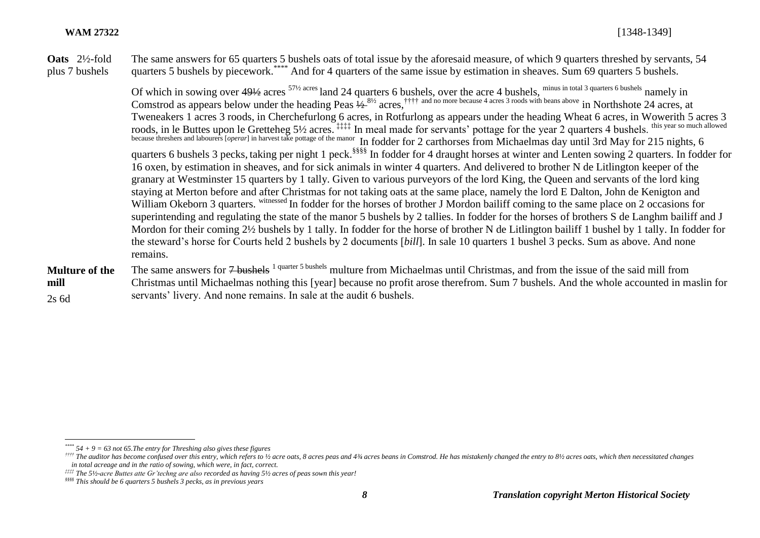**Oats** 2½-fold plus 7 bushels The same answers for 65 quarters 5 bushels oats of total issue by the aforesaid measure, of which 9 quarters threshed by servants, 54 quarters 5 bushels by piecework.\*\*\*\* And for 4 quarters of the same issue by estimation in sheaves. Sum 69 quarters 5 bushels.

> Of which in sowing over  $49\frac{1}{2}$  acres  $57\frac{1}{2}$  acres land 24 quarters 6 bushels, over the acre 4 bushels,  $\frac{1}{2}$  minus in total 3 quarters 6 bushels namely in Comstrod as appears below under the heading Peas  $\frac{1}{2}$ <sup>81/2</sup> acres,<sup>†††† and no more because 4 acres 3 roods with beans above in Northshote 24 acres, at</sup> Tweneakers 1 acres 3 roods, in Cherchefurlong 6 acres, in Rotfurlong as appears under the heading Wheat 6 acres, in Wowerith 5 acres 3 roods, in le Buttes upon le Gretteheg 5½ acres. #### In meal made for servants' pottage for the year 2 quarters 4 bushels. this year so much allowed because threshers and labourers [*operar*] in harvest take pottage of the manor In fodder for 2 carthorses from Michaelmas day until 3rd May for 215 nights, 6 quarters 6 bushels 3 pecks, taking per night 1 peck.§§§§ In fodder for 4 draught horses at winter and Lenten sowing 2 quarters. In fodder for 16 oxen, by estimation in sheaves, and for sick animals in winter 4 quarters. And delivered to brother N de Litlington keeper of the granary at Westminster 15 quarters by 1 tally. Given to various purveyors of the lord King, the Queen and servants of the lord king staying at Merton before and after Christmas for not taking oats at the same place, namely the lord E Dalton, John de Kenigton and William Okeborn 3 quarters. witnessed In fodder for the horses of brother J Mordon bailiff coming to the same place on 2 occasions for superintending and regulating the state of the manor 5 bushels by 2 tallies. In fodder for the horses of brothers S de Langhm bailiff and J Mordon for their coming 2½ bushels by 1 tally. In fodder for the horse of brother N de Litlington bailiff 1 bushel by 1 tally. In fodder for the steward's horse for Courts held 2 bushels by 2 documents [*bill*]. In sale 10 quarters 1 bushel 3 pecks. Sum as above. And none remains.

#### **Multure of the mill**  2s 6d The same answers for <del>7 bushels <sup>1 quarter</sub> 5 bushels</del> multure from Michaelmas until Christmas, and from the issue of the said mill from</del></sup> Christmas until Michaelmas nothing this [year] because no profit arose therefrom. Sum 7 bushels. And the whole accounted in maslin for servants' livery. And none remains. In sale at the audit 6 bushels.

*<sup>\*\*\*\*</sup> 54 + 9 = 63 not 65.The entry for Threshing also gives these figures*

<sup>&</sup>lt;sup>††††</sup> The auditor has become confused over this entry, which refers to 1/2 acre oats, 8 acres peas and 43/4 acres beans in Comstrod. He has mistakenly changed the entry to 81/2 acres oats, which then necessitated changes *in total acreage and in the ratio of sowing, which were, in fact, correct.*

*<sup>‡‡‡‡</sup> The 5½-acre Buttes atte Gr'techng are also recorded as having 5½ acres of peas sown this year!*

*<sup>§§§§</sup> This should be 6 quarters 5 bushels 3 pecks, as in previous years*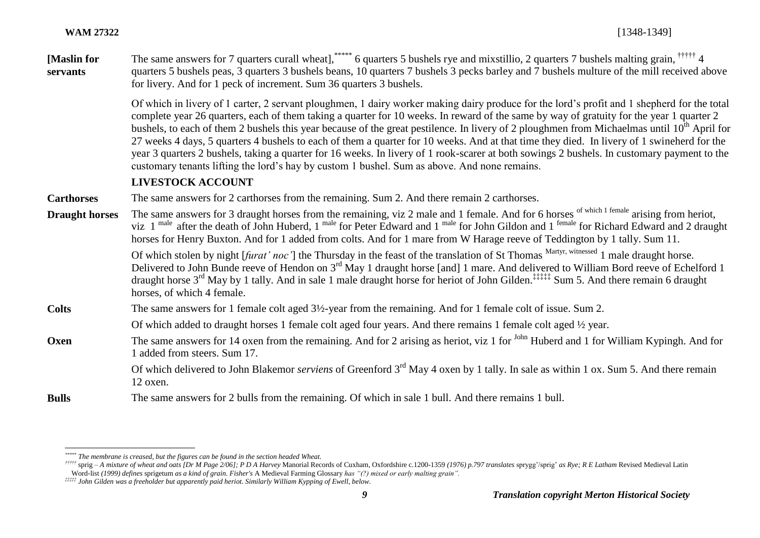**[Maslin for servants** The same answers for 7 quarters curall wheat], \*\*\*\*\* 6 quarters 5 bushels rye and mixstillio, 2 quarters 7 bushels malting grain, <sup>†††††</sup> 4 quarters 5 bushels peas, 3 quarters 3 bushels beans, 10 quarters 7 bushels 3 pecks barley and 7 bushels multure of the mill received above for livery. And for 1 peck of increment. Sum 36 quarters 3 bushels.

> Of which in livery of 1 carter, 2 servant ploughmen, 1 dairy worker making dairy produce for the lord's profit and 1 shepherd for the total complete year 26 quarters, each of them taking a quarter for 10 weeks. In reward of the same by way of gratuity for the year 1 quarter 2 bushels, to each of them 2 bushels this year because of the great pestilence. In livery of 2 ploughmen from Michaelmas until  $10^{th}$  April for 27 weeks 4 days, 5 quarters 4 bushels to each of them a quarter for 10 weeks. And at that time they died. In livery of 1 swineherd for the year 3 quarters 2 bushels, taking a quarter for 16 weeks. In livery of 1 rook-scarer at both sowings 2 bushels. In customary payment to the customary tenants lifting the lord's hay by custom 1 bushel. Sum as above. And none remains.

#### **LIVESTOCK ACCOUNT**

**Carthorses** The same answers for 2 carthorses from the remaining. Sum 2. And there remain 2 carthorses.

**Draught horses** The same answers for 3 draught horses from the remaining, viz 2 male and 1 female. And for 6 horses <sup>of which 1 female</sup> arising from heriot, viz 1<sup> male</sup> after the death of John Huberd, 1 <sup>male</sup> for Peter Edward and 1 <sup>male</sup> for John Gildon and 1 <sup>female</sup> for Richard Edward and 2 draught horses for Henry Buxton. And for 1 added from colts. And for 1 mare from W Harage reeve of Teddington by 1 tally. Sum 11.

Of which stolen by night [*furat' noc'*] the Thursday in the feast of the translation of St Thomas Martyr, witnessed 1 male draught horse. Delivered to John Bunde reeve of Hendon on 3<sup>rd</sup> May 1 draught horse [and] 1 mare. And delivered to William Bord reeve of Echelford 1 draught horse 3rd May by 1 tally. And in sale 1 male draught horse for heriot of John Gilden.‡‡‡‡‡ Sum 5. And there remain 6 draught horses, of which 4 female.

**Colts** The same answers for 1 female colt aged 3½-year from the remaining. And for 1 female colt of issue. Sum 2.

Of which added to draught horses 1 female colt aged four years. And there remains 1 female colt aged ½ year.

**Oxen** The same answers for 14 oxen from the remaining. And for 2 arising as heriot, viz 1 for <sup>John</sup> Huberd and 1 for William Kypingh. And for 1 added from steers. Sum 17.

> Of which delivered to John Blakemor *serviens* of Greenford 3<sup>rd</sup> May 4 oxen by 1 tally. In sale as within 1 ox. Sum 5. And there remain 12 oxen.

**Bulls** The same answers for 2 bulls from the remaining. Of which in sale 1 bull. And there remains 1 bull.

 $\overline{a}$ *\*\*\*\*\* The membrane is creased, but the figures can be found in the section headed Wheat.*

<sup>\*\*\*\*\*</sup> sprig – A mixture of wheat and oats [Dr M Page 2/06]; P D A Harvey Manorial Records of Cuxham, Oxfordshire c.1200-1359 (1976) p.797 translates sprygg'/sprig' as Rye; R E Latham Revised Medieval Latin Word-list *(1999) defines* sprigetum *as a kind of grain. Fisher's* A Medieval Farming Glossary *has "(?) mixed or early malting grain".* 

*<sup>‡‡‡‡‡</sup> John Gilden was a freeholder but apparently paid heriot. Similarly William Kypping of Ewell, below.*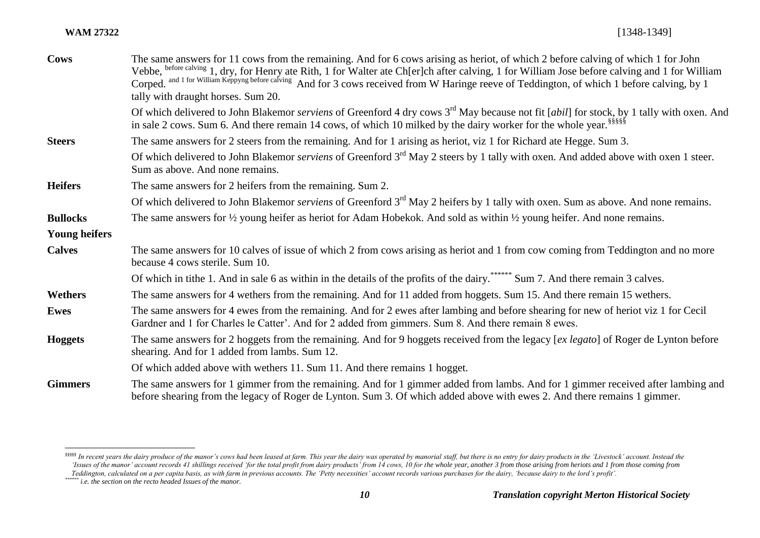| <b>Cows</b>          | The same answers for 11 cows from the remaining. And for 6 cows arising as heriot, of which 2 before calving of which 1 for John<br>Vebbe, before calving 1, dry, for Henry ate Rith, 1 for Walter ate Ch[er]ch after calving, 1 for William Jose before calving and 1 for William Corped. and 1 for William Keppyng before calving And for 3 cows received from W |
|----------------------|--------------------------------------------------------------------------------------------------------------------------------------------------------------------------------------------------------------------------------------------------------------------------------------------------------------------------------------------------------------------|
|                      | tally with draught horses. Sum 20.                                                                                                                                                                                                                                                                                                                                 |
|                      | Of which delivered to John Blakemor <i>serviens</i> of Greenford 4 dry cows 3 <sup>rd</sup> May because not fit [ <i>abil</i> ] for stock, by 1 tally with oxen. And<br>in sale 2 cows. Sum 6. And there remain 14 cows, of which 10 milked by the dairy worker for the whole year. Sum 6.                                                                         |
| <b>Steers</b>        | The same answers for 2 steers from the remaining. And for 1 arising as heriot, viz 1 for Richard ate Hegge. Sum 3.                                                                                                                                                                                                                                                 |
|                      | Of which delivered to John Blakemor <i>serviens</i> of Greenford 3 <sup>rd</sup> May 2 steers by 1 tally with oxen. And added above with oxen 1 steer.<br>Sum as above. And none remains.                                                                                                                                                                          |
| <b>Heifers</b>       | The same answers for 2 heifers from the remaining. Sum 2.                                                                                                                                                                                                                                                                                                          |
|                      | Of which delivered to John Blakemor serviens of Greenford 3 <sup>rd</sup> May 2 heifers by 1 tally with oxen. Sum as above. And none remains.                                                                                                                                                                                                                      |
| <b>Bullocks</b>      | The same answers for $\frac{1}{2}$ young heifer as heriot for Adam Hobekok. And sold as within $\frac{1}{2}$ young heifer. And none remains.                                                                                                                                                                                                                       |
| <b>Young heifers</b> |                                                                                                                                                                                                                                                                                                                                                                    |
| <b>Calves</b>        | The same answers for 10 calves of issue of which 2 from cows arising as heriot and 1 from cow coming from Teddington and no more<br>because 4 cows sterile. Sum 10.                                                                                                                                                                                                |
|                      | Of which in tithe 1. And in sale 6 as within in the details of the profits of the dairy. Sum 7. And there remain 3 calves.                                                                                                                                                                                                                                         |
| Wethers              | The same answers for 4 wethers from the remaining. And for 11 added from hoggets. Sum 15. And there remain 15 wethers.                                                                                                                                                                                                                                             |
| <b>Ewes</b>          | The same answers for 4 ewes from the remaining. And for 2 ewes after lambing and before shearing for new of heriot viz 1 for Cecil<br>Gardner and 1 for Charles le Catter'. And for 2 added from gimmers. Sum 8. And there remain 8 ewes.                                                                                                                          |
| <b>Hoggets</b>       | The same answers for 2 hoggets from the remaining. And for 9 hoggets received from the legacy [ex legato] of Roger de Lynton before<br>shearing. And for 1 added from lambs. Sum 12.                                                                                                                                                                               |
|                      | Of which added above with wethers 11. Sum 11. And there remains 1 hogget.                                                                                                                                                                                                                                                                                          |
| <b>Gimmers</b>       | The same answers for 1 gimmer from the remaining. And for 1 gimmer added from lambs. And for 1 gimmer received after lambing and<br>before shearing from the legacy of Roger de Lynton. Sum 3. Of which added above with ewes 2. And there remains 1 gimmer.                                                                                                       |

 $\overline{a}$ 

sssss In recent years the dairy produce of the manor's cows had been leased at farm. This year the dairy was operated by manorial staff, but there is no entry for dairy products in the 'Livestock' account. Instead the Issues of the manor' account records 41 shillings received 'for the total profit from dairy products' from 14 cows, 10 for the whole year, another 3 from those arising from heriots and 1 from those coming from *Teddington, calculated on a per capita basis, as with farm in previous accounts. The 'Petty necessities' account records various purchases for the dairy, 'because dairy to the lord's profit'.*

*<sup>&</sup>lt;i>redumgton, culturated on a performance of the manor.*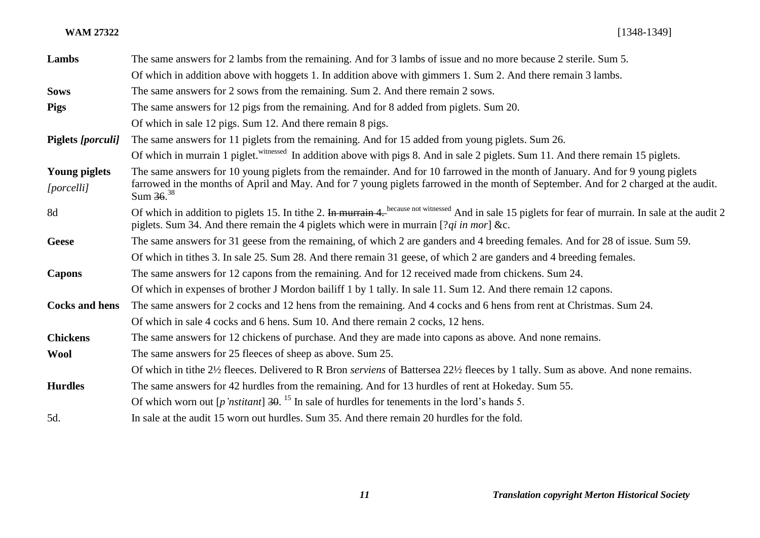| Lambs                              | The same answers for 2 lambs from the remaining. And for 3 lambs of issue and no more because 2 sterile. Sum 5.                                                                                                                                                                         |
|------------------------------------|-----------------------------------------------------------------------------------------------------------------------------------------------------------------------------------------------------------------------------------------------------------------------------------------|
|                                    | Of which in addition above with hoggets 1. In addition above with gimmers 1. Sum 2. And there remain 3 lambs.                                                                                                                                                                           |
| <b>Sows</b>                        | The same answers for 2 sows from the remaining. Sum 2. And there remain 2 sows.                                                                                                                                                                                                         |
| <b>Pigs</b>                        | The same answers for 12 pigs from the remaining. And for 8 added from piglets. Sum 20.                                                                                                                                                                                                  |
|                                    | Of which in sale 12 pigs. Sum 12. And there remain 8 pigs.                                                                                                                                                                                                                              |
| <b>Piglets</b> [porculi]           | The same answers for 11 piglets from the remaining. And for 15 added from young piglets. Sum 26.                                                                                                                                                                                        |
|                                    | Of which in murrain 1 piglet. Witnessed In addition above with pigs 8. And in sale 2 piglets. Sum 11. And there remain 15 piglets.                                                                                                                                                      |
| <b>Young piglets</b><br>[porcelli] | The same answers for 10 young piglets from the remainder. And for 10 farrowed in the month of January. And for 9 young piglets<br>farrowed in the months of April and May. And for 7 young piglets farrowed in the month of September. And for 2 charged at the audit.<br>Sum $36^{38}$ |
| 8d                                 | Of which in addition to piglets 15. In tithe 2. In murrain 4. because not witnessed And in sale 15 piglets for fear of murrain. In sale at the audit 2<br>piglets. Sum 34. And there remain the 4 piglets which were in murrain [ $2qi$ in mor] &c.                                     |
| <b>Geese</b>                       | The same answers for 31 geese from the remaining, of which 2 are ganders and 4 breeding females. And for 28 of issue. Sum 59.                                                                                                                                                           |
|                                    | Of which in tithes 3. In sale 25. Sum 28. And there remain 31 geese, of which 2 are ganders and 4 breeding females.                                                                                                                                                                     |
| <b>Capons</b>                      | The same answers for 12 capons from the remaining. And for 12 received made from chickens. Sum 24.                                                                                                                                                                                      |
|                                    | Of which in expenses of brother J Mordon bailiff 1 by 1 tally. In sale 11. Sum 12. And there remain 12 capons.                                                                                                                                                                          |
| <b>Cocks and hens</b>              | The same answers for 2 cocks and 12 hens from the remaining. And 4 cocks and 6 hens from rent at Christmas. Sum 24.                                                                                                                                                                     |
|                                    | Of which in sale 4 cocks and 6 hens. Sum 10. And there remain 2 cocks, 12 hens.                                                                                                                                                                                                         |
| <b>Chickens</b>                    | The same answers for 12 chickens of purchase. And they are made into capons as above. And none remains.                                                                                                                                                                                 |
| <b>Wool</b>                        | The same answers for 25 fleeces of sheep as above. Sum 25.                                                                                                                                                                                                                              |
|                                    | Of which in tithe 2½ fleeces. Delivered to R Bron <i>serviens</i> of Battersea 22½ fleeces by 1 tally. Sum as above. And none remains.                                                                                                                                                  |
| <b>Hurdles</b>                     | The same answers for 42 hurdles from the remaining. And for 13 hurdles of rent at Hokeday. Sum 55.                                                                                                                                                                                      |
|                                    | Of which worn out $[p'nstitant]$ 30. <sup>15</sup> In sale of hurdles for tenements in the lord's hands 5.                                                                                                                                                                              |
| 5d.                                | In sale at the audit 15 worn out hurdles. Sum 35. And there remain 20 hurdles for the fold.                                                                                                                                                                                             |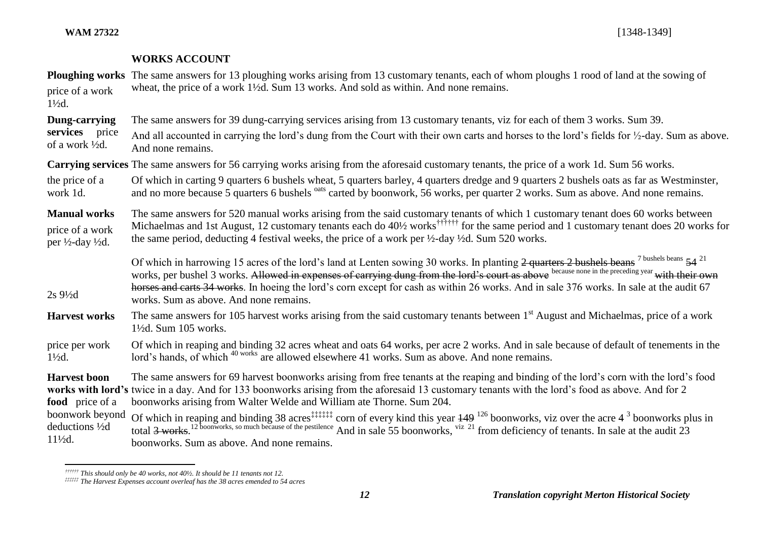#### **WORKS ACCOUNT**

|                                                                                   | <b>Ploughing works</b> The same answers for 13 ploughing works arising from 13 customary tenants, each of whom ploughs 1 rood of land at the sowing of                                                                                                                                                                                                                                                                                                                                                   |
|-----------------------------------------------------------------------------------|----------------------------------------------------------------------------------------------------------------------------------------------------------------------------------------------------------------------------------------------------------------------------------------------------------------------------------------------------------------------------------------------------------------------------------------------------------------------------------------------------------|
| price of a work<br>$1\frac{1}{2}d$ .                                              | wheat, the price of a work $1\frac{1}{2}d$ . Sum 13 works. And sold as within. And none remains.                                                                                                                                                                                                                                                                                                                                                                                                         |
| Dung-carrying                                                                     | The same answers for 39 dung-carrying services arising from 13 customary tenants, viz for each of them 3 works. Sum 39.                                                                                                                                                                                                                                                                                                                                                                                  |
| services price<br>of a work $\frac{1}{2}d$ .                                      | And all accounted in carrying the lord's dung from the Court with their own carts and horses to the lord's fields for 1/2-day. Sum as above.<br>And none remains.                                                                                                                                                                                                                                                                                                                                        |
|                                                                                   | Carrying services The same answers for 56 carrying works arising from the aforesaid customary tenants, the price of a work 1d. Sum 56 works.                                                                                                                                                                                                                                                                                                                                                             |
| the price of a<br>work 1d.                                                        | Of which in carting 9 quarters 6 bushels wheat, 5 quarters barley, 4 quarters dredge and 9 quarters 2 bushels oats as far as Westminster,<br>and no more because 5 quarters 6 bushels <sup>oats</sup> carted by boonwork, 56 works, per quarter 2 works. Sum as above. And none remains.                                                                                                                                                                                                                 |
| <b>Manual works</b><br>price of a work<br>per $\frac{1}{2}$ -day $\frac{1}{2}$ d. | The same answers for 520 manual works arising from the said customary tenants of which 1 customary tenant does 60 works between<br>Michaelmas and 1st August, 12 customary tenants each do 40½ works <sup>†††††††</sup> for the same period and 1 customary tenant does 20 works for<br>the same period, deducting 4 festival weeks, the price of a work per 1/2-day 1/2d. Sum 520 works.                                                                                                                |
| $2s\frac{9}{2}d$                                                                  | Of which in harrowing 15 acres of the lord's land at Lenten sowing 30 works. In planting 2 quarters 2 bushels beans <sup>7 bushels beans</sup> 54 <sup>21</sup><br>works, per bushel 3 works. Allowed in expenses of carrying dung from the lord's court as above because none in the preceding year with their own<br>horses and carts 34 works. In hoeing the lord's corn except for cash as within 26 works. And in sale 376 works. In sale at the audit 67<br>works. Sum as above. And none remains. |
| <b>Harvest works</b>                                                              | The same answers for 105 harvest works arising from the said customary tenants between 1 <sup>st</sup> August and Michaelmas, price of a work<br>$1\frac{1}{2}d$ . Sum 105 works.                                                                                                                                                                                                                                                                                                                        |
| المالين والمتحدث والمتحدث والمنافس                                                | Of which in moning and hinding 22 come wheat and gate 64 weeks, non come 2 weeks. And in sole hogenes of defendt of tonoments in the                                                                                                                                                                                                                                                                                                                                                                     |

#### price per work  $1\frac{1}{2}d$ . Of which in reaping and binding 32 acres wheat and oats 64 works, per acre 2 works. And in sale because of default of tenements in the lord's hands, of which <sup>40 works</sup> are allowed elsewhere 41 works. Sum as above. And none remains.

**Harvest boon**  works with lord's twice in a day. And for 133 boonworks arising from the aforesaid 13 customary tenants with the lord's food as above. And for 2 **food** price of a boonwork beyond deductions ½d The same answers for 69 harvest boonworks arising from free tenants at the reaping and binding of the lord's corn with the lord's food boonworks arising from Walter Welde and William ate Thorne. Sum 204. Of which in reaping and binding 38 acres<sup>‡‡‡‡‡‡</sup> corn of every kind this year  $\frac{149}{126}$  boonworks, viz over the acre 4<sup>3</sup> boonworks plus in

 $11\frac{1}{2}$ d. total  $3$  works.<sup>12</sup> boonworks, so much because of the pestilence And in sale 55 boonworks,  $\frac{viz}{21}$  from deficiency of tenants. In sale at the audit 23 boonworks. Sum as above. And none remains.

 $\overline{a}$ *†††††† This should only be 40 works, not 40½. It should be 11 tenants not 12.*

*<sup>‡‡‡‡‡‡</sup> The Harvest Expenses account overleaf has the 38 acres emended to 54 acres*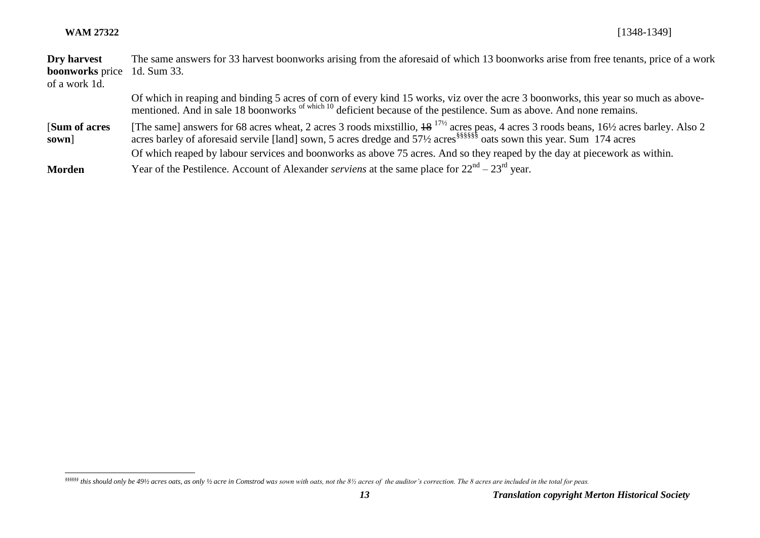#### **WAM 27322** [1348-1349]

| Dry harvest                        | The same answers for 33 harvest boonworks arising from the aforesaid of which 13 boonworks arise from free tenants, price of a work                                                                                                                                                          |
|------------------------------------|----------------------------------------------------------------------------------------------------------------------------------------------------------------------------------------------------------------------------------------------------------------------------------------------|
| <b>boonworks</b> price 1d. Sum 33. |                                                                                                                                                                                                                                                                                              |
| of a work 1d.                      |                                                                                                                                                                                                                                                                                              |
|                                    | Of which in reaping and binding 5 acres of corn of every kind 15 works, viz over the acre 3 boonworks, this year so much as above-<br>mentioned. And in sale 18 boonworks of which 10 deficient because of the pestilence. Sum as above. And none remains.                                   |
| [Sum of acres]<br>sown]            | [The same] answers for 68 acres wheat, 2 acres 3 roods mixstillio, $18^{17/2}$ acres peas, 4 acres 3 roods beans, $16\frac{1}{2}$ acres barley. Also 2<br>acres barley of aforesaid servile [land] sown, 5 acres dredge and 571/2 acres <sup>§§§§§§</sup> oats sown this year. Sum 174 acres |
|                                    | Of which reaped by labour services and boonworks as above 75 acres. And so they reaped by the day at piecework as within.                                                                                                                                                                    |
| <b>Morden</b>                      | Year of the Pestilence. Account of Alexander <i>serviens</i> at the same place for $22nd - 23rd$ year.                                                                                                                                                                                       |

*<sup>§§§§§§</sup> this should only be 49½ acres oats, as only ½ acre in Comstrod was sown with oats, not the 8½ acres of the auditor's correction. The 8 acres are included in the total for peas.*